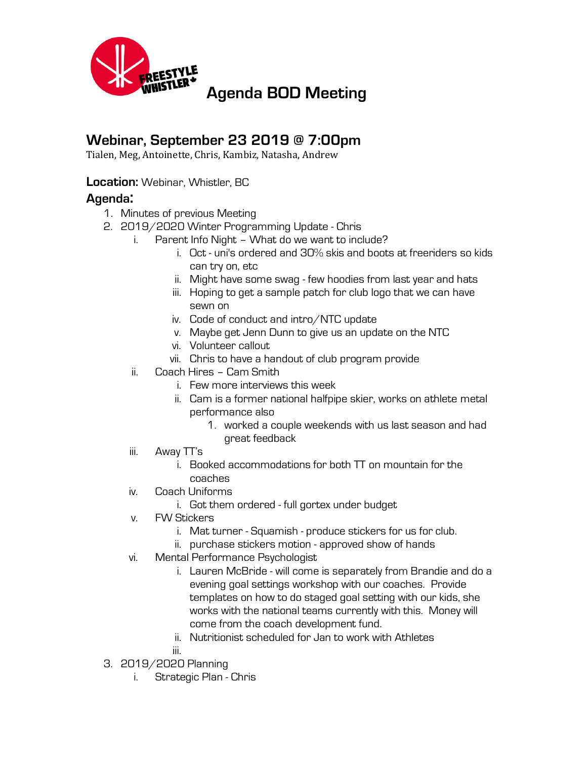

## **Webinar, September 23 2019 @ 7:00pm**

Tialen, Meg, Antoinette, Chris, Kambiz, Natasha, Andrew

## **Location:** Webinar, Whistler, BC

## **Agenda:**

- 1. Minutes of previous Meeting
- 2. 2019/2020 Winter Programming Update Chris
	- i. Parent Info Night What do we want to include?
		- i. Oct uni's ordered and 30% skis and boots at freeriders so kids can try on, etc
		- ii. Might have some swag few hoodies from last year and hats
		- iii. Hoping to get a sample patch for club logo that we can have sewn on
		- iv. Code of conduct and intro/NTC update
		- v. Maybe get Jenn Dunn to give us an update on the NTC
		- vi. Volunteer callout
		- vii. Chris to have a handout of club program provide
		- ii. Coach Hires Cam Smith
			- i. Few more interviews this week
			- ii. Cam is a former national halfpipe skier, works on athlete metal performance also
				- 1. worked a couple weekends with us last season and had great feedback
		- iii. Away TT's
			- i. Booked accommodations for both TT on mountain for the coaches
		- iv. Coach Uniforms
			- i. Got them ordered full gortex under budget
		- v. FW Stickers
			- i. Mat turner Squamish produce stickers for us for club.
			- ii. purchase stickers motion approved show of hands
		- vi. Mental Performance Psychologist
			- i. Lauren McBride will come is separately from Brandie and do a evening goal settings workshop with our coaches. Provide templates on how to do staged goal setting with our kids, she works with the national teams currently with this. Money will come from the coach development fund.
			- ii. Nutritionist scheduled for Jan to work with Athletes
			- iii.
- 3. 2019/2020 Planning
	- i. Strategic Plan Chris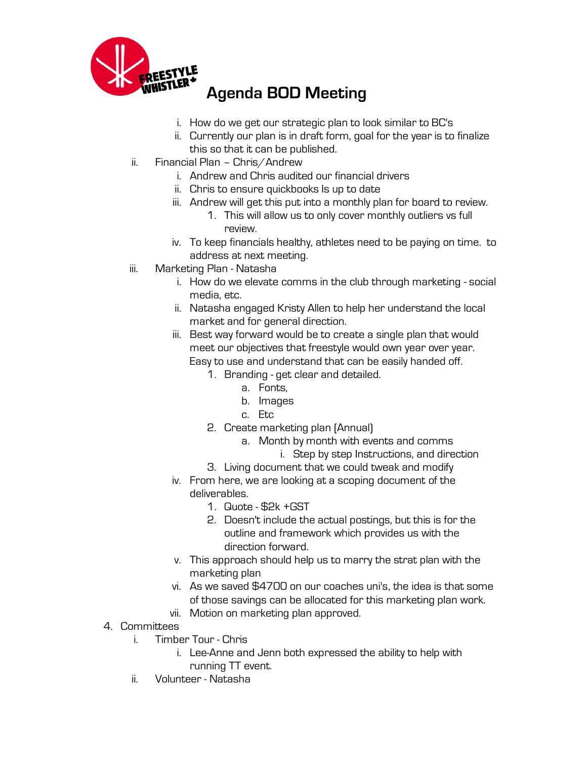

**Agenda BOD Meeting** 

- i. How do we get our strategic plan to look similar to BC's
- ii. Currently our plan is in draft form, goal for the year is to finalize this so that it can be published.
- ii. Financial Plan Chris/Andrew
	- i. Andrew and Chris audited our financial drivers
	- ii. Chris to ensure quickbooks Is up to date
	- iii. Andrew will get this put into a monthly plan for board to review.
		- 1. This will allow us to only cover monthly outliers vs full review.
	- iv. To keep financials healthy, athletes need to be paying on time. to address at next meeting.
- iii. Marketing Plan Natasha
	- i. How do we elevate comms in the club through marketing social media, etc.
	- ii. Natasha engaged Kristy Allen to help her understand the local market and for general direction.
	- iii. Best way forward would be to create a single plan that would meet our objectives that freestyle would own year over year. Easy to use and understand that can be easily handed off.
		- 1. Branding get clear and detailed.
			- a. Fonts,
			- b. Images
			- c. Etc
		- 2. Create marketing plan (Annual)
			- a. Month by month with events and comms
				- i. Step by step Instructions, and direction
		- 3. Living document that we could tweak and modify
	- iv. From here, we are looking at a scoping document of the deliverables.
		- 1. Quote \$2k +GST
		- 2. Doesn't include the actual postings, but this is for the outline and framework which provides us with the direction forward.
	- v. This approach should help us to marry the strat plan with the marketing plan
	- vi. As we saved \$4700 on our coaches uni's, the idea is that some of those savings can be allocated for this marketing plan work.
	- vii. Motion on marketing plan approved.
- 4. Committees
	- i. Timber Tour Chris
		- i. Lee-Anne and Jenn both expressed the ability to help with running TT event.
	- ii. Volunteer Natasha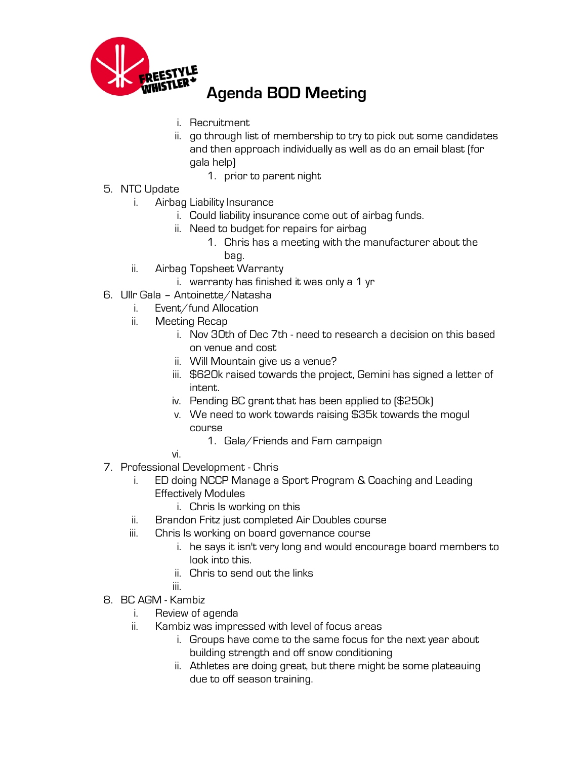

**Agenda BOD Meeting** 

- i. Recruitment
- ii. go through list of membership to try to pick out some candidates and then approach individually as well as do an email blast (for gala help)
	- 1. prior to parent night
- 5. NTC Update
	- i. Airbag Liability Insurance
		- i. Could liability insurance come out of airbag funds.
		- ii. Need to budget for repairs for airbag
			- 1. Chris has a meeting with the manufacturer about the bag.
	- ii. Airbag Topsheet Warranty
		- i. warranty has finished it was only a 1 yr
- 6. Ullr Gala Antoinette/Natasha
	- i. Event/fund Allocation
	- ii. Meeting Recap
		- i. Nov 30th of Dec 7th need to research a decision on this based on venue and cost
		- ii. Will Mountain give us a venue?
		- iii. \$620k raised towards the project, Gemini has signed a letter of intent.
		- iv. Pending BC grant that has been applied to (\$250k)
		- v. We need to work towards raising \$35k towards the mogul course
			- 1. Gala/Friends and Fam campaign
		- vi.
- 7. Professional Development Chris
	- i. ED doing NCCP Manage a Sport Program & Coaching and Leading Effectively Modules
		- i. Chris Is working on this
	- ii. Brandon Fritz just completed Air Doubles course
	- iii. Chris Is working on board governance course
		- i. he says it isn't very long and would encourage board members to look into this.
		- ii. Chris to send out the links
		- iii.
- 8. BC AGM Kambiz
	- i. Review of agenda
	- ii. Kambiz was impressed with level of focus areas
		- i. Groups have come to the same focus for the next year about building strength and off snow conditioning
		- ii. Athletes are doing great, but there might be some plateauing due to off season training.